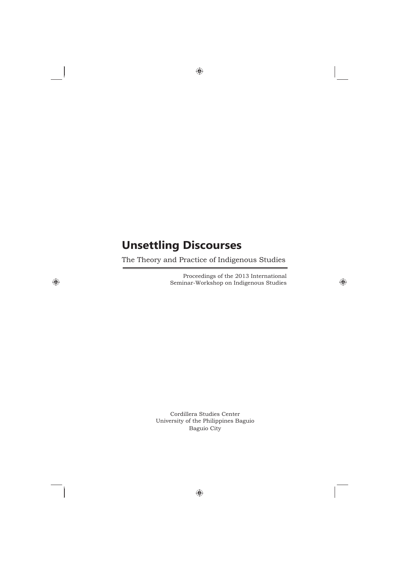## **Unsettling Discourses**

The Theory and Practice of Indigenous Studies

Proceedings of the 2013 International Seminar-Workshop on Indigenous Studies

 $\bigoplus$ 

Cordillera Studies Center University of the Philippines Baguio Baguio City

 $\bigoplus$ 

 $\bigoplus$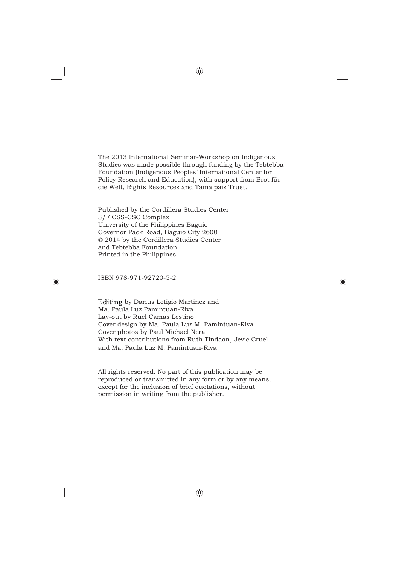The 2013 International Seminar-Workshop on Indigenous Studies was made possible through funding by the Tebtebba Foundation (Indigenous Peoples' International Center for Policy Research and Education), with support from Brot für die Welt, Rights Resources and Tamalpais Trust.

Published by the Cordillera Studies Center 3/F CSS-CSC Complex University of the Philippines Baguio Governor Pack Road, Baguio City 2600 © 2014 by the Cordillera Studies Center and Tebtebba Foundation Printed in the Philippines.

## ISBN 978-971-92720-5-2

◈

Editing by Darius Letigio Martinez and Ma. Paula Luz Pamintuan-Riva Lay-out by Ruel Camas Lestino Cover design by Ma. Paula Luz M. Pamintuan-Riva Cover photos by Paul Michael Nera With text contributions from Ruth Tindaan, Jevic Cruel and Ma. Paula Luz M. Pamintuan-Riva

All rights reserved. No part of this publication may be reproduced or transmitted in any form or by any means, except for the inclusion of brief quotations, without permission in writing from the publisher.

◈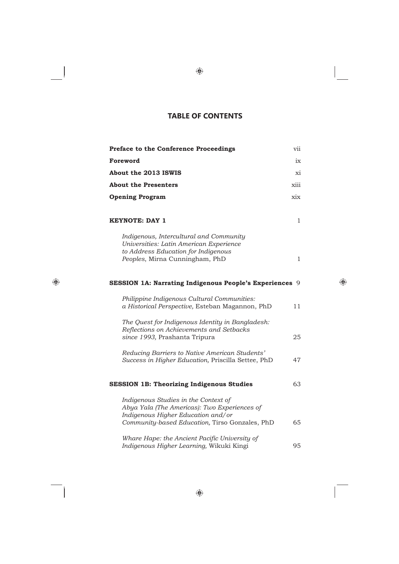## **TABLE OF CONTENTS**

| Preface to the Conference Proceedings                                                                                                                                        | vii  |
|------------------------------------------------------------------------------------------------------------------------------------------------------------------------------|------|
| Foreword                                                                                                                                                                     | ix   |
| About the 2013 ISWIS                                                                                                                                                         | xi   |
| <b>About the Presenters</b>                                                                                                                                                  | xiii |
| <b>Opening Program</b>                                                                                                                                                       | xix  |
| <b>KEYNOTE: DAY 1</b>                                                                                                                                                        | 1    |
| Indigenous, Intercultural and Community<br>Universities: Latin American Experience<br>to Address Education for Indigenous<br>Peoples, Mirna Cunningham, PhD                  | 1    |
| SESSION 1A: Narrating Indigenous People's Experiences 9                                                                                                                      |      |
| Philippine Indigenous Cultural Communities:<br>a Historical Perspective, Esteban Magannon, PhD                                                                               | 11   |
| The Quest for Indigenous Identity in Bangladesh:<br>Reflections on Achievements and Setbacks<br>since 1993, Prashanta Tripura                                                | 25   |
| Reducing Barriers to Native American Students'<br>Success in Higher Education, Priscilla Settee, PhD                                                                         | 47   |
| <b>SESSION 1B: Theorizing Indigenous Studies</b>                                                                                                                             | 63   |
| Indigenous Studies in the Context of<br>Abya Yala (The Americas): Two Experiences of<br>Indigenous Higher Education and/or<br>Community-based Education, Tirso Gonzales, PhD | 65   |
| Whare Hape: the Ancient Pacific University of<br>Indigenous Higher Learning, Wikuki Kingi                                                                                    | 95   |

 $\mathbb{R}^n$ 

 $\bigoplus$ 

 $\left| \cdot \right|$ 

 $\bigoplus$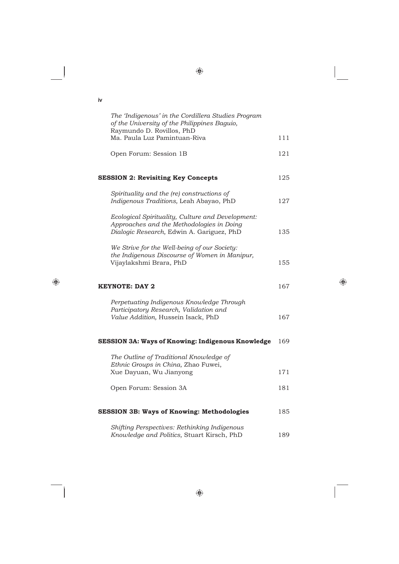| iv                                                                                                                                          |     |
|---------------------------------------------------------------------------------------------------------------------------------------------|-----|
| The 'Indigenous' in the Cordillera Studies Program<br>of the University of the Philippines Baguio,<br>Raymundo D. Rovillos, PhD             |     |
| Ma. Paula Luz Pamintuan-Riva                                                                                                                | 111 |
| Open Forum: Session 1B                                                                                                                      | 121 |
| <b>SESSION 2: Revisiting Key Concepts</b>                                                                                                   | 125 |
| Spirituality and the (re) constructions of<br>Indigenous Traditions, Leah Abayao, PhD                                                       | 127 |
| Ecological Spirituality, Culture and Development:<br>Approaches and the Methodologies in Doing<br>Dialogic Research, Edwin A. Gariguez, PhD | 135 |
| We Strive for the Well-being of our Society:<br>the Indigenous Discourse of Women in Manipur,<br>Vijaylakshmi Brara, PhD                    | 155 |
| <b>KEYNOTE: DAY 2</b>                                                                                                                       | 167 |
| Perpetuating Indigenous Knowledge Through<br>Participatory Research, Validation and<br>Value Addition, Hussein Isack, PhD                   | 167 |
| <b>SESSION 3A: Ways of Knowing: Indigenous Knowledge</b>                                                                                    | 169 |
| The Outline of Traditional Knowledge of<br>Ethnic Groups in China, Zhao Fuwei,<br>Xue Dayuan, Wu Jianyong                                   | 171 |
| Open Forum: Session 3A                                                                                                                      | 181 |
| <b>SESSION 3B: Ways of Knowing: Methodologies</b>                                                                                           | 185 |
| Shifting Perspectives: Rethinking Indigenous                                                                                                |     |
| Knowledge and Politics, Stuart Kirsch, PhD                                                                                                  | 189 |

 $\bigoplus$ 

 $\bigoplus$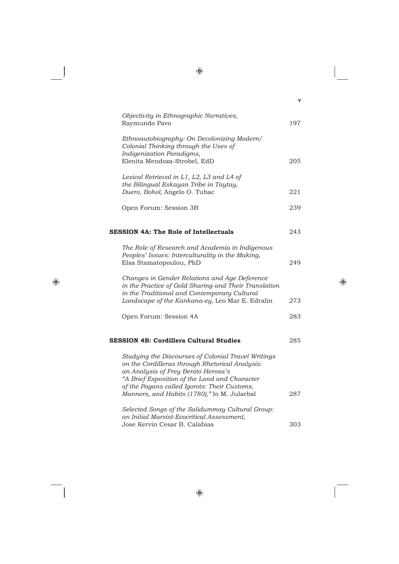|                                                                                                                                                                                                                                                | v   |
|------------------------------------------------------------------------------------------------------------------------------------------------------------------------------------------------------------------------------------------------|-----|
| Objectivity in Ethnographic Narratives,<br>Raymundo Pavo                                                                                                                                                                                       | 197 |
| Ethnoautobiography: On Decolonizing Modern/<br>Colonial Thinking through the Uses of<br>Indigenization Paradigms,<br>Elenita Mendoza-Strobel, EdD                                                                                              | 205 |
| Lexical Retrieval in L1, L2, L3 and L4 of<br>the Bilingual Eskayan Tribe in Taytay,                                                                                                                                                            |     |
| Duero, Bohol, Angelo O. Tubac                                                                                                                                                                                                                  | 221 |
| Open Forum: Session 3B                                                                                                                                                                                                                         | 239 |
| <b>SESSION 4A: The Role of Intellectuals</b>                                                                                                                                                                                                   | 243 |
| The Role of Research and Academia in Indigenous<br>Peoples' Issues: Interculturality in the Making,<br>Elsa Stamatopoulou, PhD                                                                                                                 | 249 |
| Changes in Gender Relations and Age Deference<br>in the Practice of Gold Sharing and Their Translation<br>in the Traditional and Contemporary Cultural                                                                                         |     |
| Landscape of the Kankana-ey, Leo Mar E. Edralin                                                                                                                                                                                                | 273 |
| Open Forum: Session 4A                                                                                                                                                                                                                         | 283 |
| <b>SESSION 4B: Cordillera Cultural Studies</b>                                                                                                                                                                                                 | 285 |
| Studying the Discourses of Colonial Travel Writings<br>on the Cordilleras through Rhetorical Analysis:<br>an Analysis of Frey Benito Herosa's<br>"A Brief Exposition of the Land and Character<br>of the Pagans called Igorots: Their Customs, |     |
| Manners, and Habits (1780)," Io M. Jularbal                                                                                                                                                                                                    | 287 |
| Selected Songs of the Salidummay Cultural Group:<br>an Initial Marxist-Ecocritical Assessment,<br>Jose Kervin Cesar B. Calabias                                                                                                                | 303 |

 $\bigoplus$ 

 $\bigoplus$ 

 $\bigoplus$